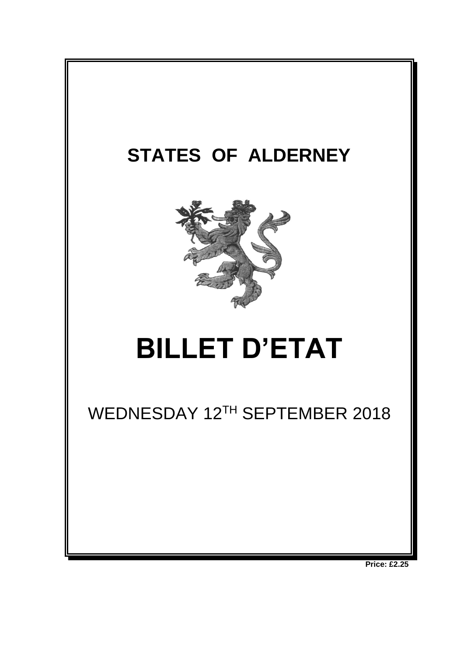

**Price: £2.25**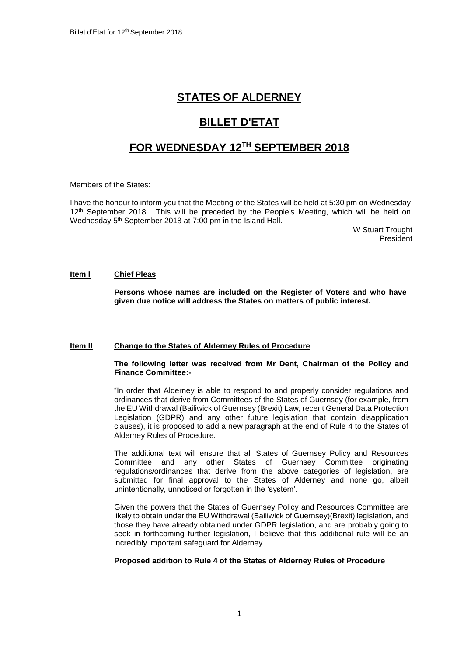## **STATES OF ALDERNEY**

# **BILLET D'ETAT**

## **FOR WEDNESDAY 12TH SEPTEMBER 2018**

Members of the States:

I have the honour to inform you that the Meeting of the States will be held at 5:30 pm on Wednesday 12<sup>th</sup> September 2018. This will be preceded by the People's Meeting, which will be held on Wednesday 5<sup>th</sup> September 2018 at 7:00 pm in the Island Hall.

> W Stuart Trought President

#### **Item l Chief Pleas**

**Persons whose names are included on the Register of Voters and who have given due notice will address the States on matters of public interest.**

## **Item lI Change to the States of Alderney Rules of Procedure**

## **The following letter was received from Mr Dent, Chairman of the Policy and Finance Committee:-**

"In order that Alderney is able to respond to and properly consider regulations and ordinances that derive from Committees of the States of Guernsey (for example, from the EU Withdrawal (Bailiwick of Guernsey (Brexit) Law, recent General Data Protection Legislation (GDPR) and any other future legislation that contain disapplication clauses), it is proposed to add a new paragraph at the end of Rule 4 to the States of Alderney Rules of Procedure.

The additional text will ensure that all States of Guernsey Policy and Resources Committee and any other States of Guernsey Committee originating regulations/ordinances that derive from the above categories of legislation, are submitted for final approval to the States of Alderney and none go, albeit unintentionally, unnoticed or forgotten in the 'system'.

Given the powers that the States of Guernsey Policy and Resources Committee are likely to obtain under the EU Withdrawal (Bailiwick of Guernsey)(Brexit) legislation, and those they have already obtained under GDPR legislation, and are probably going to seek in forthcoming further legislation, I believe that this additional rule will be an incredibly important safeguard for Alderney.

#### **Proposed addition to Rule 4 of the States of Alderney Rules of Procedure**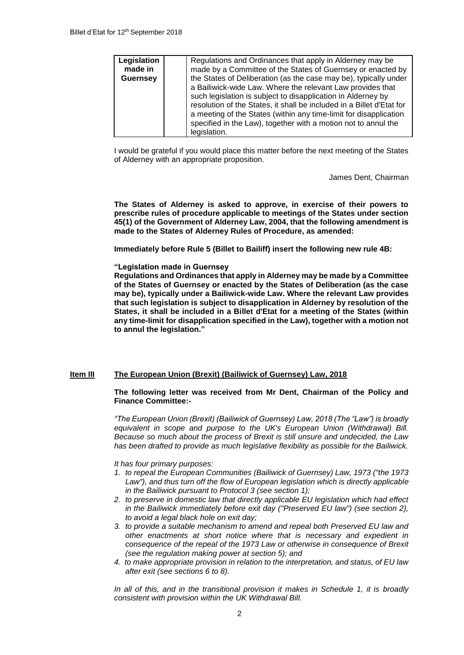| Legislation     | Regulations and Ordinances that apply in Alderney may be                                                                                                                                                                                                                                                                                                   |
|-----------------|------------------------------------------------------------------------------------------------------------------------------------------------------------------------------------------------------------------------------------------------------------------------------------------------------------------------------------------------------------|
| made in         | made by a Committee of the States of Guernsey or enacted by                                                                                                                                                                                                                                                                                                |
| <b>Guernsey</b> | the States of Deliberation (as the case may be), typically under                                                                                                                                                                                                                                                                                           |
|                 | a Bailiwick-wide Law. Where the relevant Law provides that<br>such legislation is subject to disapplication in Alderney by<br>resolution of the States, it shall be included in a Billet d'Etat for<br>a meeting of the States (within any time-limit for disapplication<br>specified in the Law), together with a motion not to annul the<br>legislation. |

I would be grateful if you would place this matter before the next meeting of the States of Alderney with an appropriate proposition.

James Dent, Chairman

**The States of Alderney is asked to approve, in exercise of their powers to prescribe rules of procedure applicable to meetings of the States under section 45(1) of the Government of Alderney Law, 2004, that the following amendment is made to the States of Alderney Rules of Procedure, as amended:** 

**Immediately before Rule 5 (Billet to Bailiff) insert the following new rule 4B:** 

#### **"Legislation made in Guernsey**

**Regulations and Ordinances that apply in Alderney may be made by a Committee of the States of Guernsey or enacted by the States of Deliberation (as the case may be), typically under a Bailiwick-wide Law. Where the relevant Law provides that such legislation is subject to disapplication in Alderney by resolution of the States, it shall be included in a Billet d'Etat for a meeting of the States (within any time-limit for disapplication specified in the Law), together with a motion not to annul the legislation."**

#### **Item IlI The European Union (Brexit) (Bailiwick of Guernsey) Law, 2018**

#### **The following letter was received from Mr Dent, Chairman of the Policy and Finance Committee:-**

*"The European Union (Brexit) (Bailiwick of Guernsey) Law, 2018 (The "Law") is broadly equivalent in scope and purpose to the UK's European Union (Withdrawal) Bill. Because so much about the process of Brexit is still unsure and undecided, the Law has been drafted to provide as much legislative flexibility as possible for the Bailiwick.* 

*It has four primary purposes:* 

- *1. to repeal the European Communities (Bailiwick of Guernsey) Law, 1973 ("the 1973 Law"), and thus turn off the flow of European legislation which is directly applicable in the Bailiwick pursuant to Protocol 3 (see section 1);*
- *2. to preserve in domestic law that directly applicable EU legislation which had effect in the Bailiwick immediately before exit day ("Preserved EU law") (see section 2), to avoid a legal black hole on exit day;*
- *3. to provide a suitable mechanism to amend and repeal both Preserved EU law and other enactments at short notice where that is necessary and expedient in consequence of the repeal of the 1973 Law or otherwise in consequence of Brexit (see the regulation making power at section 5); and*
- *4. to make appropriate provision in relation to the interpretation, and status, of EU law after exit (see sections 6 to 8).*

*In all of this, and in the transitional provision it makes in Schedule 1, it is broadly consistent with provision within the UK Withdrawal Bill.*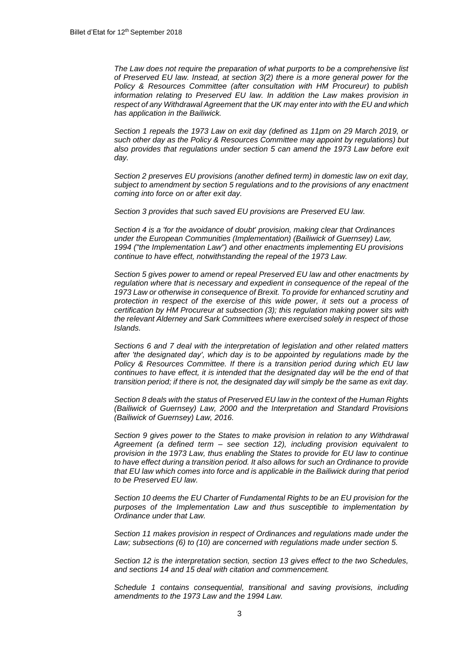*The Law does not require the preparation of what purports to be a comprehensive list of Preserved EU law. Instead, at section 3(2) there is a more general power for the Policy & Resources Committee (after consultation with HM Procureur) to publish information relating to Preserved EU law. In addition the Law makes provision in respect of any Withdrawal Agreement that the UK may enter into with the EU and which has application in the Bailiwick.*

*Section 1 repeals the 1973 Law on exit day (defined as 11pm on 29 March 2019, or such other day as the Policy & Resources Committee may appoint by regulations) but also provides that regulations under section 5 can amend the 1973 Law before exit day.*

*Section 2 preserves EU provisions (another defined term) in domestic law on exit day, subject to amendment by section 5 regulations and to the provisions of any enactment coming into force on or after exit day.*

*Section 3 provides that such saved EU provisions are Preserved EU law.*

*Section 4 is a 'for the avoidance of doubt' provision, making clear that Ordinances under the European Communities (Implementation) (Bailiwick of Guernsey) Law, 1994 ("the Implementation Law") and other enactments implementing EU provisions continue to have effect, notwithstanding the repeal of the 1973 Law.*

*Section 5 gives power to amend or repeal Preserved EU law and other enactments by regulation where that is necessary and expedient in consequence of the repeal of the 1973 Law or otherwise in consequence of Brexit. To provide for enhanced scrutiny and protection in respect of the exercise of this wide power, it sets out a process of certification by HM Procureur at subsection (3); this regulation making power sits with the relevant Alderney and Sark Committees where exercised solely in respect of those Islands.*

*Sections 6 and 7 deal with the interpretation of legislation and other related matters after 'the designated day', which day is to be appointed by regulations made by the Policy & Resources Committee. If there is a transition period during which EU law continues to have effect, it is intended that the designated day will be the end of that transition period; if there is not, the designated day will simply be the same as exit day.*

*Section 8 deals with the status of Preserved EU law in the context of the Human Rights (Bailiwick of Guernsey) Law, 2000 and the Interpretation and Standard Provisions (Bailiwick of Guernsey) Law, 2016.*

*Section 9 gives power to the States to make provision in relation to any Withdrawal Agreement (a defined term – see section 12), including provision equivalent to provision in the 1973 Law, thus enabling the States to provide for EU law to continue to have effect during a transition period. It also allows for such an Ordinance to provide that EU law which comes into force and is applicable in the Bailiwick during that period to be Preserved EU law.*

*Section 10 deems the EU Charter of Fundamental Rights to be an EU provision for the purposes of the Implementation Law and thus susceptible to implementation by Ordinance under that Law.*

*Section 11 makes provision in respect of Ordinances and regulations made under the Law; subsections (6) to (10) are concerned with regulations made under section 5.*

*Section 12 is the interpretation section, section 13 gives effect to the two Schedules, and sections 14 and 15 deal with citation and commencement.*

*Schedule 1 contains consequential, transitional and saving provisions, including amendments to the 1973 Law and the 1994 Law.*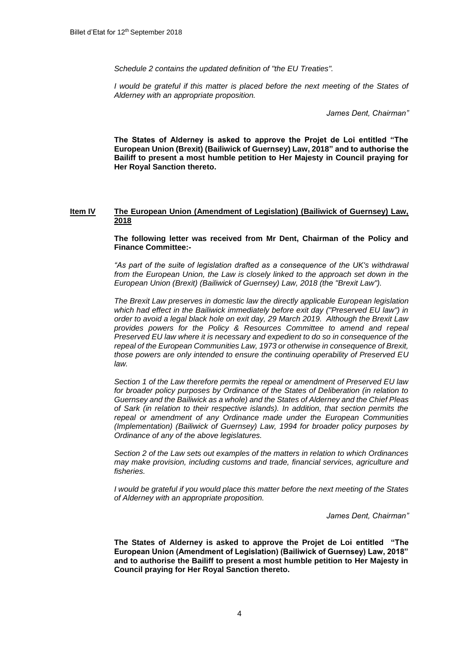*Schedule 2 contains the updated definition of "the EU Treaties".*

*I* would be grateful if this matter is placed before the next meeting of the States of *Alderney with an appropriate proposition.*

*James Dent, Chairman"*

**The States of Alderney is asked to approve the Projet de Loi entitled "The European Union (Brexit) (Bailiwick of Guernsey) Law, 2018" and to authorise the Bailiff to present a most humble petition to Her Majesty in Council praying for Her Royal Sanction thereto.**

#### **Item IV The European Union (Amendment of Legislation) (Bailiwick of Guernsey) Law, 2018**

**The following letter was received from Mr Dent, Chairman of the Policy and Finance Committee:-**

*"As part of the suite of legislation drafted as a consequence of the UK's withdrawal from the European Union, the Law is closely linked to the approach set down in the European Union (Brexit) (Bailiwick of Guernsey) Law, 2018 (the "Brexit Law").* 

*The Brexit Law preserves in domestic law the directly applicable European legislation which had effect in the Bailiwick immediately before exit day ("Preserved EU law") in order to avoid a legal black hole on exit day, 29 March 2019. Although the Brexit Law provides powers for the Policy & Resources Committee to amend and repeal Preserved EU law where it is necessary and expedient to do so in consequence of the repeal of the European Communities Law, 1973 or otherwise in consequence of Brexit, those powers are only intended to ensure the continuing operability of Preserved EU law.* 

*Section 1 of the Law therefore permits the repeal or amendment of Preserved EU law for broader policy purposes by Ordinance of the States of Deliberation (in relation to Guernsey and the Bailiwick as a whole) and the States of Alderney and the Chief Pleas of Sark (in relation to their respective islands). In addition, that section permits the repeal or amendment of any Ordinance made under the European Communities (Implementation) (Bailiwick of Guernsey) Law, 1994 for broader policy purposes by Ordinance of any of the above legislatures.* 

*Section 2 of the Law sets out examples of the matters in relation to which Ordinances may make provision, including customs and trade, financial services, agriculture and fisheries.*

*I would be grateful if you would place this matter before the next meeting of the States of Alderney with an appropriate proposition.*

*James Dent, Chairman"*

**The States of Alderney is asked to approve the Projet de Loi entitled "The European Union (Amendment of Legislation) (Bailiwick of Guernsey) Law, 2018" and to authorise the Bailiff to present a most humble petition to Her Majesty in Council praying for Her Royal Sanction thereto.**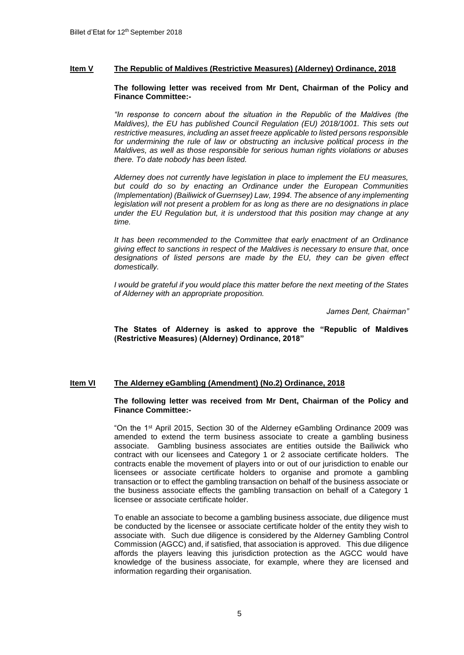## **Item V The Republic of Maldives (Restrictive Measures) (Alderney) Ordinance, 2018**

#### **The following letter was received from Mr Dent, Chairman of the Policy and Finance Committee:-**

*"In response to concern about the situation in the Republic of the Maldives (the Maldives), the EU has published Council Regulation (EU) 2018/1001. This sets out restrictive measures, including an asset freeze applicable to listed persons responsible for undermining the rule of law or obstructing an inclusive political process in the Maldives, as well as those responsible for serious human rights violations or abuses there. To date nobody has been listed.* 

*Alderney does not currently have legislation in place to implement the EU measures, but could do so by enacting an Ordinance under the European Communities (Implementation) (Bailiwick of Guernsey) Law, 1994. The absence of any implementing legislation will not present a problem for as long as there are no designations in place under the EU Regulation but, it is understood that this position may change at any time.* 

*It has been recommended to the Committee that early enactment of an Ordinance giving effect to sanctions in respect of the Maldives is necessary to ensure that, once designations of listed persons are made by the EU, they can be given effect domestically.*

*I would be grateful if you would place this matter before the next meeting of the States of Alderney with an appropriate proposition.*

*James Dent, Chairman"*

#### **The States of Alderney is asked to approve the "Republic of Maldives (Restrictive Measures) (Alderney) Ordinance, 2018"**

#### **Item VI The Alderney eGambling (Amendment) (No.2) Ordinance, 2018**

#### **The following letter was received from Mr Dent, Chairman of the Policy and Finance Committee:-**

"On the 1st April 2015, Section 30 of the Alderney eGambling Ordinance 2009 was amended to extend the term business associate to create a gambling business associate. Gambling business associates are entities outside the Bailiwick who contract with our licensees and Category 1 or 2 associate certificate holders. The contracts enable the movement of players into or out of our jurisdiction to enable our licensees or associate certificate holders to organise and promote a gambling transaction or to effect the gambling transaction on behalf of the business associate or the business associate effects the gambling transaction on behalf of a Category 1 licensee or associate certificate holder.

To enable an associate to become a gambling business associate, due diligence must be conducted by the licensee or associate certificate holder of the entity they wish to associate with. Such due diligence is considered by the Alderney Gambling Control Commission (AGCC) and, if satisfied, that association is approved. This due diligence affords the players leaving this jurisdiction protection as the AGCC would have knowledge of the business associate, for example, where they are licensed and information regarding their organisation.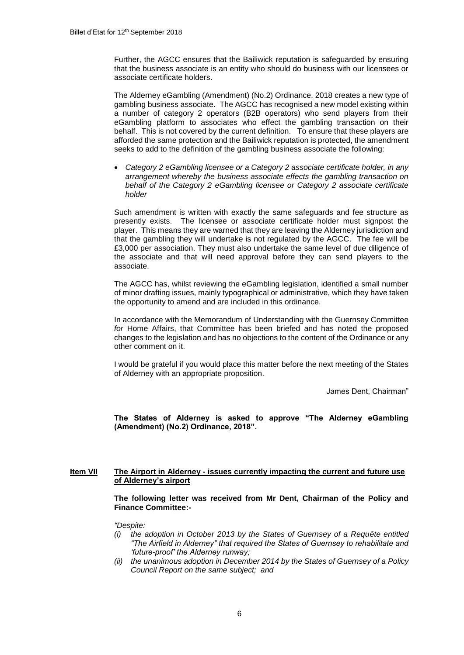Further, the AGCC ensures that the Bailiwick reputation is safeguarded by ensuring that the business associate is an entity who should do business with our licensees or associate certificate holders.

The Alderney eGambling (Amendment) (No.2) Ordinance, 2018 creates a new type of gambling business associate. The AGCC has recognised a new model existing within a number of category 2 operators (B2B operators) who send players from their eGambling platform to associates who effect the gambling transaction on their behalf. This is not covered by the current definition. To ensure that these players are afforded the same protection and the Bailiwick reputation is protected, the amendment seeks to add to the definition of the gambling business associate the following:

 *Category 2 eGambling licensee or a Category 2 associate certificate holder, in any arrangement whereby the business associate effects the gambling transaction on behalf of the Category 2 eGambling licensee or Category 2 associate certificate holder*

Such amendment is written with exactly the same safeguards and fee structure as presently exists. The licensee or associate certificate holder must signpost the player. This means they are warned that they are leaving the Alderney jurisdiction and that the gambling they will undertake is not regulated by the AGCC. The fee will be £3,000 per association. They must also undertake the same level of due diligence of the associate and that will need approval before they can send players to the associate.

The AGCC has, whilst reviewing the eGambling legislation, identified a small number of minor drafting issues, mainly typographical or administrative, which they have taken the opportunity to amend and are included in this ordinance.

In accordance with the Memorandum of Understanding with the Guernsey Committee *for* Home Affairs, that Committee has been briefed and has noted the proposed changes to the legislation and has no objections to the content of the Ordinance or any other comment on it.

I would be grateful if you would place this matter before the next meeting of the States of Alderney with an appropriate proposition.

James Dent, Chairman"

**The States of Alderney is asked to approve "The Alderney eGambling (Amendment) (No.2) Ordinance, 2018".**

## **Item VII The Airport in Alderney - issues currently impacting the current and future use of Alderney's airport**

**The following letter was received from Mr Dent, Chairman of the Policy and Finance Committee:-**

*"Despite:* 

- *(i) the adoption in October 2013 by the States of Guernsey of a Requête entitled "The Airfield in Alderney" that required the States of Guernsey to rehabilitate and 'future-proof' the Alderney runway;*
- *(ii) the unanimous adoption in December 2014 by the States of Guernsey of a Policy Council Report on the same subject; and*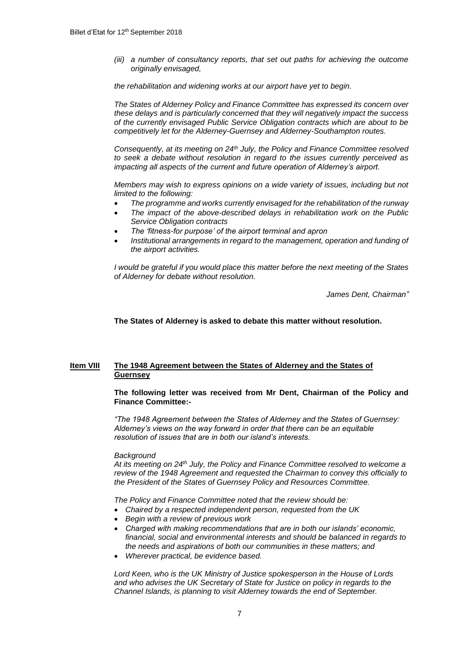*(iii) a number of consultancy reports, that set out paths for achieving the outcome originally envisaged,*

*the rehabilitation and widening works at our airport have yet to begin.* 

*The States of Alderney Policy and Finance Committee has expressed its concern over these delays and is particularly concerned that they will negatively impact the success of the currently envisaged Public Service Obligation contracts which are about to be competitively let for the Alderney-Guernsey and Alderney-Southampton routes.*

*Consequently, at its meeting on 24th July, the Policy and Finance Committee resolved to seek a debate without resolution in regard to the issues currently perceived as impacting all aspects of the current and future operation of Alderney's airport.* 

*Members may wish to express opinions on a wide variety of issues, including but not limited to the following:* 

- *The programme and works currently envisaged for the rehabilitation of the runway*
- *The impact of the above-described delays in rehabilitation work on the Public Service Obligation contracts*
- *The 'fitness-for purpose' of the airport terminal and apron*
- *Institutional arrangements in regard to the management, operation and funding of the airport activities.*

*I would be grateful if you would place this matter before the next meeting of the States of Alderney for debate without resolution.*

*James Dent, Chairman"*

**The States of Alderney is asked to debate this matter without resolution.**

## **Item VIII The 1948 Agreement between the States of Alderney and the States of Guernsey**

#### **The following letter was received from Mr Dent, Chairman of the Policy and Finance Committee:-**

*"The 1948 Agreement between the States of Alderney and the States of Guernsey: Alderney's views on the way forward in order that there can be an equitable resolution of issues that are in both our island's interests.*

#### *Background*

*At its meeting on 24th July, the Policy and Finance Committee resolved to welcome a review of the 1948 Agreement and requested the Chairman to convey this officially to the President of the States of Guernsey Policy and Resources Committee.* 

*The Policy and Finance Committee noted that the review should be:*

- *Chaired by a respected independent person, requested from the UK*
- *Begin with a review of previous work*
- *Charged with making recommendations that are in both our islands' economic, financial, social and environmental interests and should be balanced in regards to the needs and aspirations of both our communities in these matters; and*
- *Wherever practical, be evidence based.*

*Lord Keen, who is the UK Ministry of Justice spokesperson in the House of Lords and who advises the UK Secretary of State for Justice on policy in regards to the Channel Islands, is planning to visit Alderney towards the end of September.*